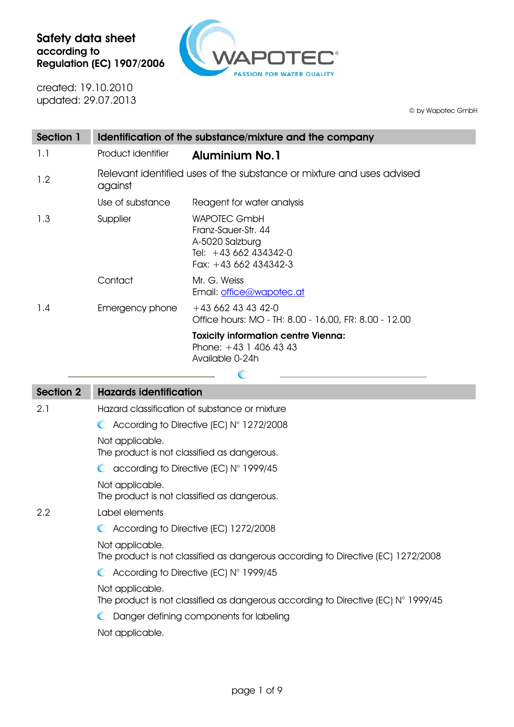

created: 19.10.2010 updated: 29.07.2013

© by Wapotec GmbH

| Section 1 |                    | Identification of the substance/mixture and the company                                                  |
|-----------|--------------------|----------------------------------------------------------------------------------------------------------|
| 1.1       | Product identifier | Aluminium No.1                                                                                           |
| 1.2       | against            | Relevant identified uses of the substance or mixture and uses advised                                    |
|           | Use of substance   | Reagent for water analysis                                                                               |
| 1.3       | Supplier           | WAPOTEC GmbH<br>Franz-Sauer-Str, 44<br>A-5020 Salzburg<br>Tel: +43 662 434342-0<br>Fax: $+43662434342-3$ |
|           | Contact            | Mr. G. Weiss<br>Email: office@wapotec.at                                                                 |
| 1.4       | Emergency phone    | $+436624343420$<br>Office hours: MO - TH: 8.00 - 16.00, FR: 8.00 - 12.00                                 |
|           |                    | <b>Toxicity information centre Vienna:</b><br>Phone: $+43$ 1 406 43 43<br>Available 0-24h                |

| <b>Section 2</b> | <b>Hazards identification</b>                                                                                 |
|------------------|---------------------------------------------------------------------------------------------------------------|
| 2.1              | Hazard classification of substance or mixture                                                                 |
|                  | $\bullet$ According to Directive (EC) N° 1272/2008                                                            |
|                  | Not applicable.<br>The product is not classified as dangerous.                                                |
|                  | $\bullet$ according to Directive (EC) N° 1999/45                                                              |
|                  | Not applicable.<br>The product is not classified as dangerous.                                                |
| 2.2              | Label elements                                                                                                |
|                  | C According to Directive (EC) 1272/2008                                                                       |
|                  | Not applicable.<br>The product is not classified as dangerous according to Directive (EC) 1272/2008           |
|                  | $\bullet$ According to Directive (EC) N° 1999/45                                                              |
|                  | Not applicable.<br>The product is not classified as dangerous according to Directive (EC) $N^{\circ}$ 1999/45 |
|                  | C Danger defining components for labeling                                                                     |
|                  | Not applicable.                                                                                               |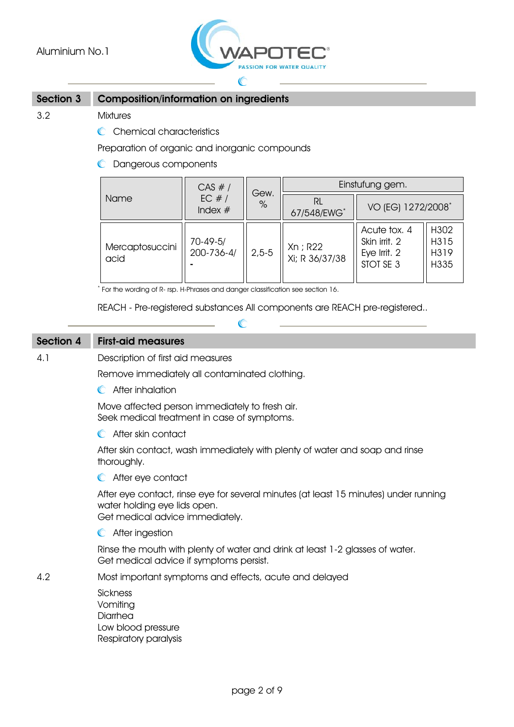

### Section 3 Composition/information on ingredients

3.2 Mixtures

C Chemical characteristics

Preparation of organic and inorganic compounds

**C** Dangerous components

|                         | CAS #/                   |              | Einstufung gem.            |                                                            |                              |
|-------------------------|--------------------------|--------------|----------------------------|------------------------------------------------------------|------------------------------|
| <b>Name</b>             | EC $#/$<br>Index $#$     | Gew.<br>$\%$ | RL<br>67/548/EWG*          | VO (EG) 1272/2008*                                         |                              |
| Mercaptosuccini<br>acid | $70-49-5/$<br>200-736-4/ | $2,5-5$      | Xn ; R22<br>Xi; R 36/37/38 | Acute tox. 4<br>Skin irrit. 2<br>Eye Irrit. 2<br>STOT SE 3 | H302<br>H315<br>H319<br>H335 |

\* For the wording of R- rsp. H-Phrases and danger classification see section 16.

REACH - Pre-registered substances All components are REACH pre-registered..

### Section 4 First-aid measures

# 4.1 Description of first aid measures

Remove immediately all contaminated clothing.

**C** After inhalation

Move affected person immediately to fresh air. Seek medical treatment in case of symptoms.

**C** After skin contact

After skin contact, wash immediately with plenty of water and soap and rinse thoroughly.

**C** After eve contact

After eye contact, rinse eye for several minutes (at least 15 minutes) under running water holding eye lids open.

Get medical advice immediately.

**C** After ingestion

Rinse the mouth with plenty of water and drink at least 1-2 glasses of water. Get medical advice if symptoms persist.

4.2 Most important symptoms and effects, acute and delayed

Sickness Vomiting **Diarrhea** Low blood pressure Respiratory paralysis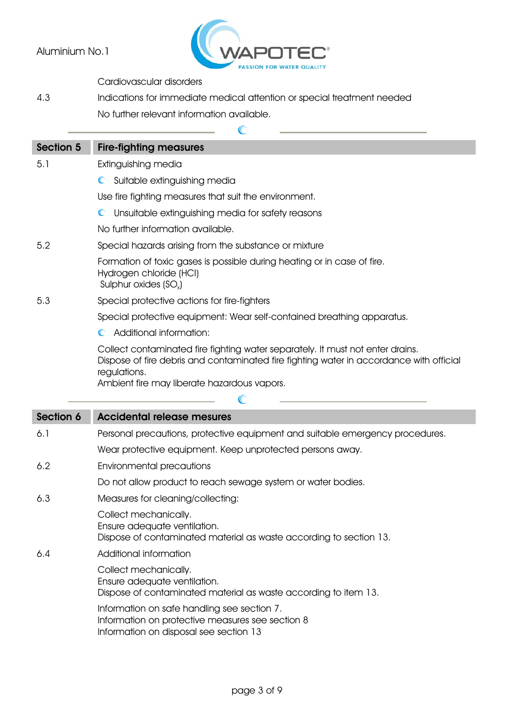

Cardiovascular disorders

4.3 Indications for immediate medical attention or special treatment needed No further relevant information available.

| <b>Section 5</b> | <b>Fire-fighting measures</b>                                                                                                                                                             |
|------------------|-------------------------------------------------------------------------------------------------------------------------------------------------------------------------------------------|
| 5.1              | Extinguishing media                                                                                                                                                                       |
|                  | Suitable extinguishing media<br>$\mathbb{C}$                                                                                                                                              |
|                  | Use fire fighting measures that suit the environment.                                                                                                                                     |
|                  | Unsuitable extinguishing media for safety reasons<br>$\mathbb C$                                                                                                                          |
|                  | No further information available.                                                                                                                                                         |
| 5.2              | Special hazards arising from the substance or mixture                                                                                                                                     |
|                  | Formation of toxic gases is possible during heating or in case of fire.<br>Hydrogen chloride (HCI)<br>Sulphur oxides (SO <sub>x</sub> )                                                   |
| 5.3              | Special protective actions for fire-fighters                                                                                                                                              |
|                  | Special protective equipment: Wear self-contained breathing apparatus.                                                                                                                    |
|                  | Additional information:<br>C                                                                                                                                                              |
|                  | Collect contaminated fire fighting water separately. It must not enter drains.<br>Dispose of fire debris and contaminated fire fighting water in accordance with official<br>regulations. |
|                  | Ambient fire may liberate hazardous vapors.                                                                                                                                               |
|                  |                                                                                                                                                                                           |
| Section 6        | <b>Accidental release mesures</b>                                                                                                                                                         |
| 6.1              | Personal precautions, protective equipment and suitable emergency procedures.                                                                                                             |
|                  | Wear protective equipment. Keep unprotected persons away.                                                                                                                                 |
| 6.2              | Environmental precautions                                                                                                                                                                 |
|                  | Do not allow product to reach sewage system or water bodies.                                                                                                                              |
| 6.3              | Measures for cleaning/collecting:                                                                                                                                                         |
|                  | Collect mechanically.<br>Ensure adequate ventilation.<br>Dispose of contaminated material as waste according to section 13.                                                               |
| 6.4              | Additional information                                                                                                                                                                    |
|                  | Collect mechanically.<br>Ensure adequate ventilation.<br>Dispose of contaminated material as waste according to item 13.                                                                  |
|                  | Information on safe handling see section 7.<br>Information on protective measures see section 8                                                                                           |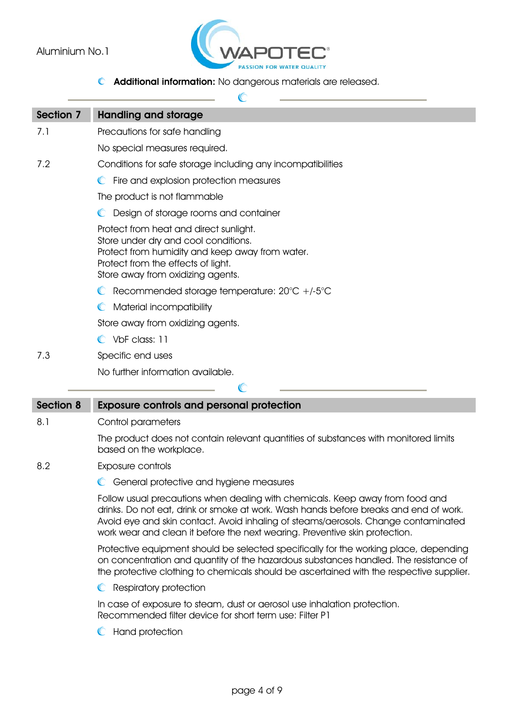### Aluminium No.1



**C** Additional information: No dangerous materials are released.

|                  | C                                                                                                                                                                                                                                                                                                                                           |
|------------------|---------------------------------------------------------------------------------------------------------------------------------------------------------------------------------------------------------------------------------------------------------------------------------------------------------------------------------------------|
| Section 7        | <b>Handling and storage</b>                                                                                                                                                                                                                                                                                                                 |
| 7.1              | Precautions for safe handling                                                                                                                                                                                                                                                                                                               |
|                  | No special measures required.                                                                                                                                                                                                                                                                                                               |
| 7.2              | Conditions for safe storage including any incompatibilities                                                                                                                                                                                                                                                                                 |
|                  | C Fire and explosion protection measures                                                                                                                                                                                                                                                                                                    |
|                  | The product is not flammable                                                                                                                                                                                                                                                                                                                |
|                  | Design of storage rooms and container<br>C                                                                                                                                                                                                                                                                                                  |
|                  | Protect from heat and direct sunlight.                                                                                                                                                                                                                                                                                                      |
|                  | Store under dry and cool conditions.<br>Protect from humidity and keep away from water.                                                                                                                                                                                                                                                     |
|                  | Protect from the effects of light.                                                                                                                                                                                                                                                                                                          |
|                  | Store away from oxidizing agents.                                                                                                                                                                                                                                                                                                           |
|                  | Recommended storage temperature: $20^{\circ}C$ +/-5 $^{\circ}C$<br>C                                                                                                                                                                                                                                                                        |
|                  | C Material incompatibility                                                                                                                                                                                                                                                                                                                  |
|                  | Store away from oxidizing agents.                                                                                                                                                                                                                                                                                                           |
|                  | C VbF class: 11                                                                                                                                                                                                                                                                                                                             |
| 7.3              | Specific end uses                                                                                                                                                                                                                                                                                                                           |
|                  | No further information available.                                                                                                                                                                                                                                                                                                           |
|                  | C                                                                                                                                                                                                                                                                                                                                           |
| <b>Section 8</b> | <b>Exposure controls and personal protection</b>                                                                                                                                                                                                                                                                                            |
| 8.1              | Control parameters                                                                                                                                                                                                                                                                                                                          |
|                  | The product does not contain relevant quantities of substances with monitored limits<br>based on the workplace.                                                                                                                                                                                                                             |
| 8.2              | Exposure controls                                                                                                                                                                                                                                                                                                                           |
|                  | C General protective and hygiene measures                                                                                                                                                                                                                                                                                                   |
|                  | Follow usual precautions when dealing with chemicals. Keep away from food and<br>drinks. Do not eat, drink or smoke at work. Wash hands before breaks and end of work.<br>Avoid eye and skin contact. Avoid inhaling of steams/aerosols. Change contaminated<br>work wear and clean it before the next wearing. Preventive skin protection. |

Protective equipment should be selected specifically for the working place, depending on concentration and quantity of the hazardous substances handled. The resistance of the protective clothing to chemicals should be ascertained with the respective supplier.

**C** Respiratory protection

In case of exposure to steam, dust or aerosol use inhalation protection. Recommended filter device for short term use: Filter P1

C Hand protection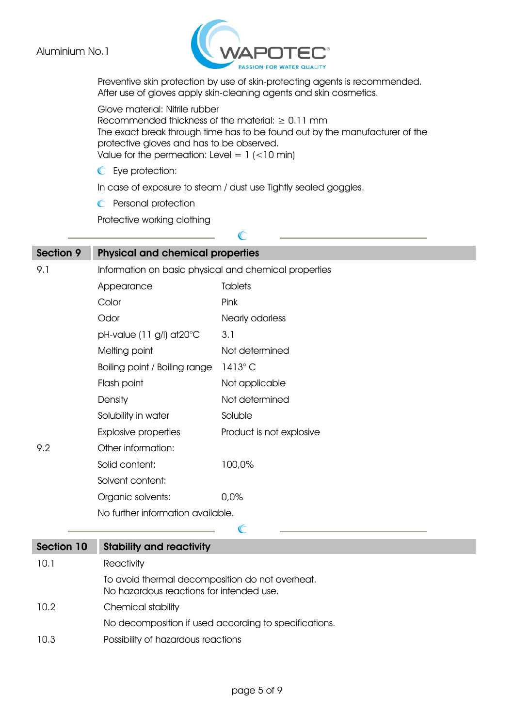

Preventive skin protection by use of skin-protecting agents is recommended. After use of gloves apply skin-cleaning agents and skin cosmetics.

Glove material: Nitrile rubber Recommended thickness of the material:  $\geq 0.11$  mm The exact break through time has to be found out by the manufacturer of the protective gloves and has to be observed. Value for the permeation: Level =  $1$  (<10 min)

 $\bullet$  Eye protection:

In case of exposure to steam / dust use Tightly sealed goggles.

 $\mathbb{C}$ 

**C** Personal protection

Protective working clothing

## Section 9 Physical and chemical properties

| 9.1 | Information on basic physical and chemical properties |                 |  |  |
|-----|-------------------------------------------------------|-----------------|--|--|
|     | Appearance                                            | <b>Tablets</b>  |  |  |
|     | Color                                                 | Pink            |  |  |
|     | Odor                                                  | Nearly odorless |  |  |
|     | $pH$ -value (11 g/l) at $20^{\circ}$ C                | 3.1             |  |  |
|     | Melting point                                         | Not determined  |  |  |
|     | Boiling point / Boiling range                         | $1413^\circ C$  |  |  |
|     | Flash point                                           | Not applicable  |  |  |
|     | Density                                               | Not determined  |  |  |
|     | Solubility in water                                   | Soluble         |  |  |

| Explosive properties | Product is not explosive |
|----------------------|--------------------------|
|                      |                          |

|     | <b>LANIONIA CITICA</b>            | ט וטוויטווער וטאס |  |
|-----|-----------------------------------|-------------------|--|
| 9.2 | Other information:                |                   |  |
|     | Solid content:                    | 100,0%            |  |
|     | Solvent content:                  |                   |  |
|     | Organic solvents:                 | 0.0%              |  |
|     | No further information available. |                   |  |

# Section 10 Stability and reactivity 10.1 Reactivity To avoid thermal decomposition do not overheat. No hazardous reactions for intended use. 10.2 Chemical stability No decomposition if used according to specifications. 10.3 Possibility of hazardous reactions

C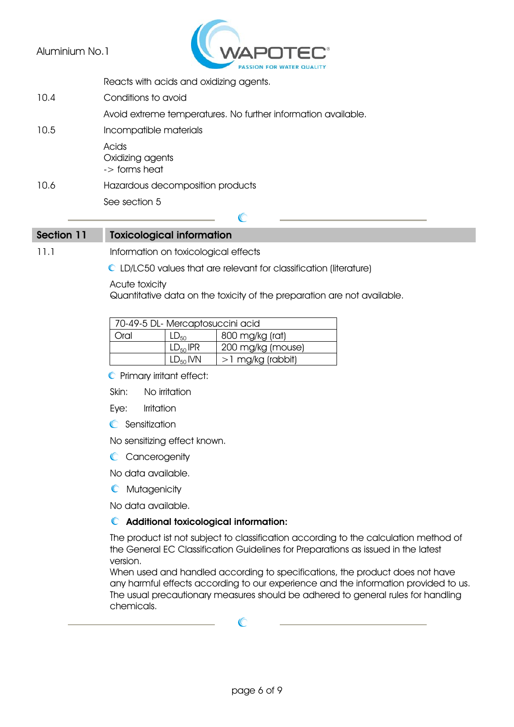Aluminium No.1



|      | Reacts with acids and oxidizing agents.                       |
|------|---------------------------------------------------------------|
| 10.4 | Conditions to avoid                                           |
|      | Avoid extreme temperatures. No further information available. |
| 10.5 | Incompatible materials                                        |
|      | Acids<br>Oxidizing agents<br>$\rightarrow$ forms heat         |
| 10.6 | Hazardous decomposition products                              |
|      | See section 5                                                 |
|      |                                                               |

Section 11 Toxicological information

11.1 Information on toxicological effects

LD/LC50 values that are relevant for classification (literature)

Acute toxicity

Quantitative data on the toxicity of the preparation are not available.

| 70-49-5 DL- Mercaptosuccini acid     |               |                     |
|--------------------------------------|---------------|---------------------|
| 800 mg/kg (rat)<br>Oral<br>$LD_{50}$ |               |                     |
|                                      | $LD50$ IPR    | 200 mg/kg (mouse)   |
|                                      | $LD_{50}$ IVN | $>1$ mg/kg (rabbit) |

**C** Primary irritant effect:

Skin: No irritation

Eye: Irritation

**C** Sensitization

No sensitizing effect known.

C Cancerogenity

No data available.

**C** Mutagenicity

No data available.

### Additional toxicological information:

The product ist not subject to classification according to the calculation method of the General EC Classification Guidelines for Preparations as issued in the latest version.

When used and handled according to specifications, the product does not have any harmful effects according to our experience and the information provided to us. The usual precautionary measures should be adhered to general rules for handling chemicals.

C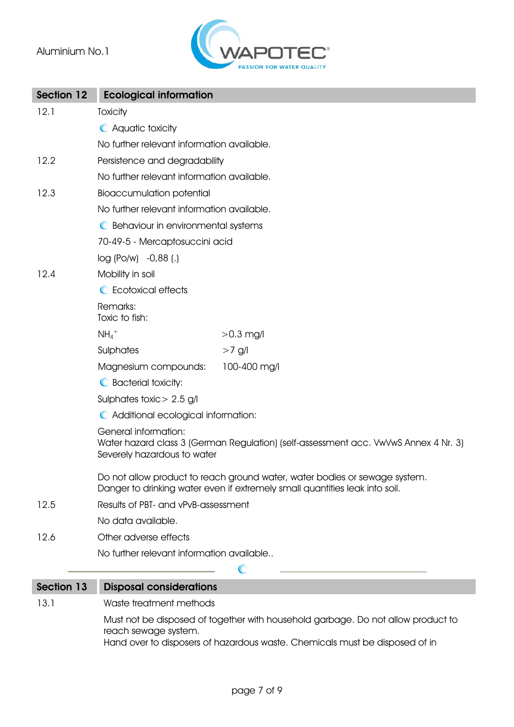

| Section 12 | <b>Ecological information</b>                                                                                                                     |                                                                                                                                                           |  |
|------------|---------------------------------------------------------------------------------------------------------------------------------------------------|-----------------------------------------------------------------------------------------------------------------------------------------------------------|--|
| 12.1       | Toxicity                                                                                                                                          |                                                                                                                                                           |  |
|            | <b>C</b> Aquatic toxicity                                                                                                                         |                                                                                                                                                           |  |
|            | No further relevant information available.                                                                                                        |                                                                                                                                                           |  |
| 12.2       | Persistence and degradability                                                                                                                     |                                                                                                                                                           |  |
|            | No further relevant information available.                                                                                                        |                                                                                                                                                           |  |
| 12.3       | <b>Bioaccumulation potential</b>                                                                                                                  |                                                                                                                                                           |  |
|            | No further relevant information available.                                                                                                        |                                                                                                                                                           |  |
|            | C Behaviour in environmental systems                                                                                                              |                                                                                                                                                           |  |
|            | 70-49-5 - Mercaptosuccini acid                                                                                                                    |                                                                                                                                                           |  |
|            | $log (Po/w) -0.88$ (.)                                                                                                                            |                                                                                                                                                           |  |
| 12.4       | Mobility in soil                                                                                                                                  |                                                                                                                                                           |  |
|            | C Ecotoxical effects                                                                                                                              |                                                                                                                                                           |  |
|            | Remarks:<br>Toxic to fish:                                                                                                                        |                                                                                                                                                           |  |
|            | $NH_4$ <sup>+</sup>                                                                                                                               | $>0.3$ mg/l                                                                                                                                               |  |
|            | Sulphates                                                                                                                                         | $>7$ g/l                                                                                                                                                  |  |
|            | Magnesium compounds:                                                                                                                              | 100-400 mg/l                                                                                                                                              |  |
|            | C Bacterial toxicity:                                                                                                                             |                                                                                                                                                           |  |
|            | Sulphates toxic > 2.5 g/l                                                                                                                         |                                                                                                                                                           |  |
|            | C Additional ecological information:                                                                                                              |                                                                                                                                                           |  |
|            | <b>General information:</b><br>Water hazard class 3 (German Regulation) (self-assessment acc. VwVwS Annex 4 Nr. 3)<br>Severely hazardous to water |                                                                                                                                                           |  |
|            |                                                                                                                                                   | Do not allow product to reach ground water, water bodies or sewage system.<br>Danger to drinking water even if extremely small quantities leak into soil. |  |
| 12.5       | Results of PBT- and vPvB-assessment                                                                                                               |                                                                                                                                                           |  |
|            | No data available.                                                                                                                                |                                                                                                                                                           |  |
| 12.6       | Other adverse effects                                                                                                                             |                                                                                                                                                           |  |
|            | No further relevant information available                                                                                                         |                                                                                                                                                           |  |
|            |                                                                                                                                                   |                                                                                                                                                           |  |

### Section 13 Disposal considerations

13.1 Waste treatment methods

Must not be disposed of together with household garbage. Do not allow product to reach sewage system.

Hand over to disposers of hazardous waste. Chemicals must be disposed of in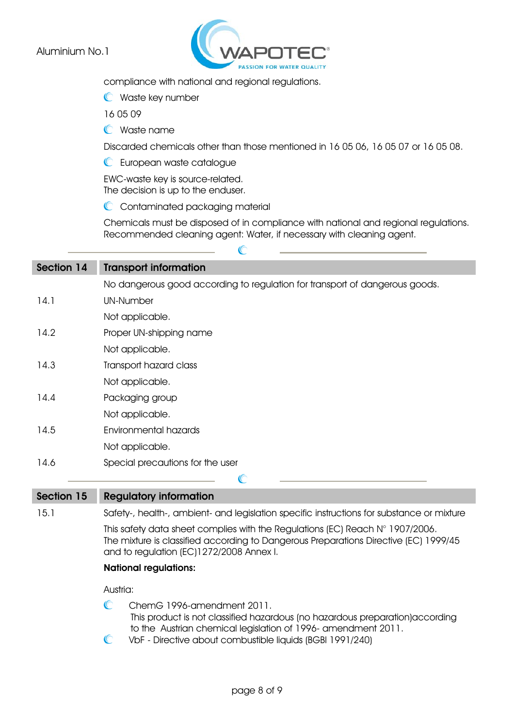

compliance with national and regional regulations.

**C** Waste key number

16 05 09

Waste name

Discarded chemicals other than those mentioned in 16 05 06, 16 05 07 or 16 05 08.

**C** European waste catalogue

EWC-waste key is source-related. The decision is up to the enduser.

C Contaminated packaging material

Chemicals must be disposed of in compliance with national and regional regulations. Recommended cleaning agent: Water, if necessary with cleaning agent.

| Section 14        | <b>Transport information</b>                                                                                                                                                                                               |
|-------------------|----------------------------------------------------------------------------------------------------------------------------------------------------------------------------------------------------------------------------|
|                   | No dangerous good according to regulation for transport of dangerous goods.                                                                                                                                                |
| 14.1              | <b>UN-Number</b>                                                                                                                                                                                                           |
|                   | Not applicable.                                                                                                                                                                                                            |
| 14.2              | Proper UN-shipping name                                                                                                                                                                                                    |
|                   | Not applicable.                                                                                                                                                                                                            |
| 14.3              | Transport hazard class                                                                                                                                                                                                     |
|                   | Not applicable.                                                                                                                                                                                                            |
| 14.4              | Packaging group                                                                                                                                                                                                            |
|                   | Not applicable.                                                                                                                                                                                                            |
| 14.5              | <b>Environmental hazards</b>                                                                                                                                                                                               |
|                   | Not applicable.                                                                                                                                                                                                            |
| 14.6              | Special precautions for the user                                                                                                                                                                                           |
|                   |                                                                                                                                                                                                                            |
| <b>Section 15</b> | <b>Regulatory information</b>                                                                                                                                                                                              |
| 15.1              | Safety-, health-, ambient- and legislation specific instructions for substance or mixture                                                                                                                                  |
|                   | This safety data sheet complies with the Regulations (EC) Reach $N^{\circ}$ 1907/2006.<br>The mixture is classified according to Dangerous Preparations Directive (EC) 1999/45<br>and to regulation (EC)1272/2008 Annex I. |
|                   | <b>National regulations:</b>                                                                                                                                                                                               |

æ

Austria:

 $\mathbb{C}$ ChemG 1996-amendment 2011. This product is not classified hazardous (no hazardous preparation)according to the Austrian chemical legislation of 1996- amendment 2011.<br>
C VbF - Directive about combustible liquids (BGBI 1991/240) VbF - Directive about combustible liquids (BGBl 1991/240)